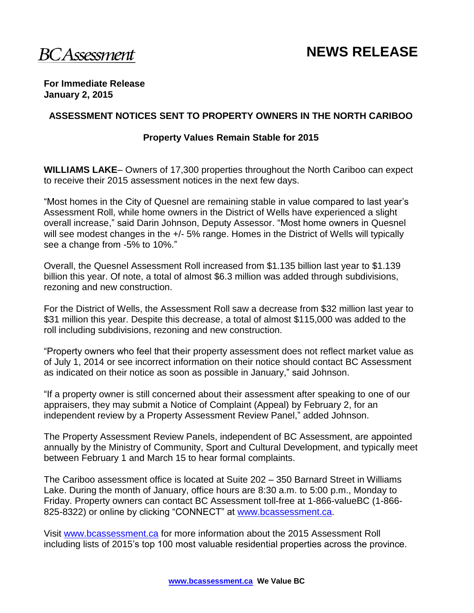**For Immediate Release January 2, 2015**

### **ASSESSMENT NOTICES SENT TO PROPERTY OWNERS IN THE NORTH CARIBOO**

#### **Property Values Remain Stable for 2015**

**WILLIAMS LAKE**– Owners of 17,300 properties throughout the North Cariboo can expect to receive their 2015 assessment notices in the next few days.

"Most homes in the City of Quesnel are remaining stable in value compared to last year's Assessment Roll, while home owners in the District of Wells have experienced a slight overall increase," said Darin Johnson, Deputy Assessor. "Most home owners in Quesnel will see modest changes in the  $+/-5\%$  range. Homes in the District of Wells will typically see a change from -5% to 10%."

Overall, the Quesnel Assessment Roll increased from \$1.135 billion last year to \$1.139 billion this year. Of note, a total of almost \$6.3 million was added through subdivisions, rezoning and new construction.

For the District of Wells, the Assessment Roll saw a decrease from \$32 million last year to \$31 million this year. Despite this decrease, a total of almost \$115,000 was added to the roll including subdivisions, rezoning and new construction.

"Property owners who feel that their property assessment does not reflect market value as of July 1, 2014 or see incorrect information on their notice should contact BC Assessment as indicated on their notice as soon as possible in January," said Johnson.

"If a property owner is still concerned about their assessment after speaking to one of our appraisers, they may submit a Notice of Complaint (Appeal) by February 2, for an independent review by a Property Assessment Review Panel," added Johnson.

The Property Assessment Review Panels, independent of BC Assessment, are appointed annually by the Ministry of Community, Sport and Cultural Development, and typically meet between February 1 and March 15 to hear formal complaints.

The Cariboo assessment office is located at Suite 202 – 350 Barnard Street in Williams Lake. During the month of January, office hours are 8:30 a.m. to 5:00 p.m., Monday to Friday. Property owners can contact BC Assessment toll-free at 1-866-valueBC (1-866- 825-8322) or online by clicking "CONNECT" at [www.bcassessment.ca](http://www.bcassessment.ca/).

Visit [www.bcassessment.ca](http://www.bcassessment.ca/) for more information about the 2015 Assessment Roll including lists of 2015's top 100 most valuable residential properties across the province.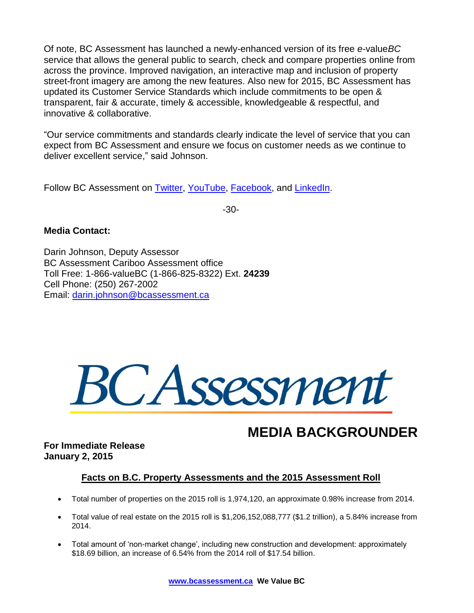Of note, BC Assessment has launched a newly-enhanced version of its free *e*-value*BC*  service that allows the general public to search, check and compare properties online from across the province. Improved navigation, an interactive map and inclusion of property street-front imagery are among the new features. Also new for 2015, BC Assessment has updated its Customer Service Standards which include commitments to be open & transparent, fair & accurate, timely & accessible, knowledgeable & respectful, and innovative & collaborative.

"Our service commitments and standards clearly indicate the level of service that you can expect from BC Assessment and ensure we focus on customer needs as we continue to deliver excellent service," said Johnson.

Follow BC Assessment on [Twitter,](http://twitter.com/bcassessment) [YouTube,](http://www.youtube.com/user/BCAssessmentVideos) [Facebook,](http://www.facebook.com/pages/BC-Assessment/168042796561277?sk=info) and [LinkedIn.](http://www.linkedin.com/company/bc-assessment)

-30-

### **Media Contact:**

Darin Johnson, Deputy Assessor BC Assessment Cariboo Assessment office Toll Free: 1-866-valueBC (1-866-825-8322) Ext. **24239** Cell Phone: (250) 267-2002 Email: [darin.johnson@bcassessment.ca](mailto:darin.johnson@bcassessment.ca)



# **MEDIA BACKGROUNDER**

**For Immediate Release January 2, 2015** 

## **Facts on B.C. Property Assessments and the 2015 Assessment Roll**

- Total number of properties on the 2015 roll is 1,974,120, an approximate 0.98% increase from 2014.
- Total value of real estate on the 2015 roll is \$1,206,152,088,777 (\$1.2 trillion), a 5.84% increase from 2014.
- Total amount of 'non-market change', including new construction and development: approximately \$18.69 billion, an increase of 6.54% from the 2014 roll of \$17.54 billion.